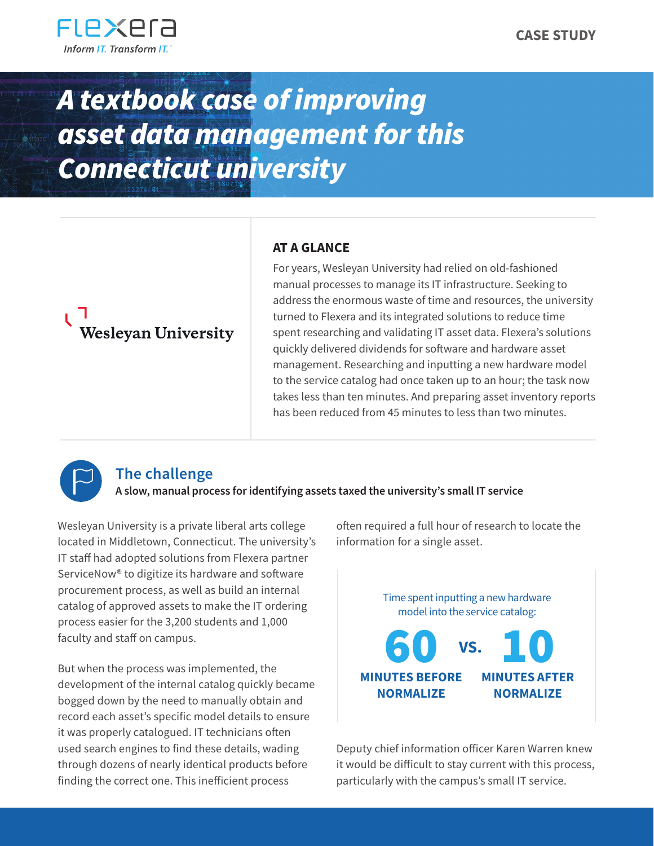

## *A textbook case of improving asset data management for this Connecticut university*

# **Wesleyan University**

#### **AT A GLANCE**

For years, Wesleyan University had relied on old-fashioned manual processes to manage its IT infrastructure. Seeking to address the enormous waste of time and resources, the university turned to Flexera and its integrated solutions to reduce time spent researching and validating IT asset data. Flexera's solutions quickly delivered dividends for software and hardware asset management. Researching and inputting a new hardware model to the service catalog had once taken up to an hour; the task now takes less than ten minutes. And preparing asset inventory reports has been reduced from 45 minutes to less than two minutes.



### **The challenge**

**A slow, manual process for identifying assets taxed the university's small IT service** 

Wesleyan University is a private liberal arts college located in Middletown, Connecticut. The university's IT staff had adopted solutions from Flexera partner ServiceNow® to digitize its hardware and software procurement process, as well as build an internal catalog of approved assets to make the IT ordering process easier for the 3,200 students and 1,000 faculty and staff on campus.

But when the process was implemented, the development of the internal catalog quickly became bogged down by the need to manually obtain and record each asset's specific model details to ensure it was properly catalogued. IT technicians often used search engines to find these details, wading through dozens of nearly identical products before finding the correct one. This inefficient process

often required a full hour of research to locate the information for a single asset.



Deputy chief information officer Karen Warren knew it would be difficult to stay current with this process, particularly with the campus's small IT service.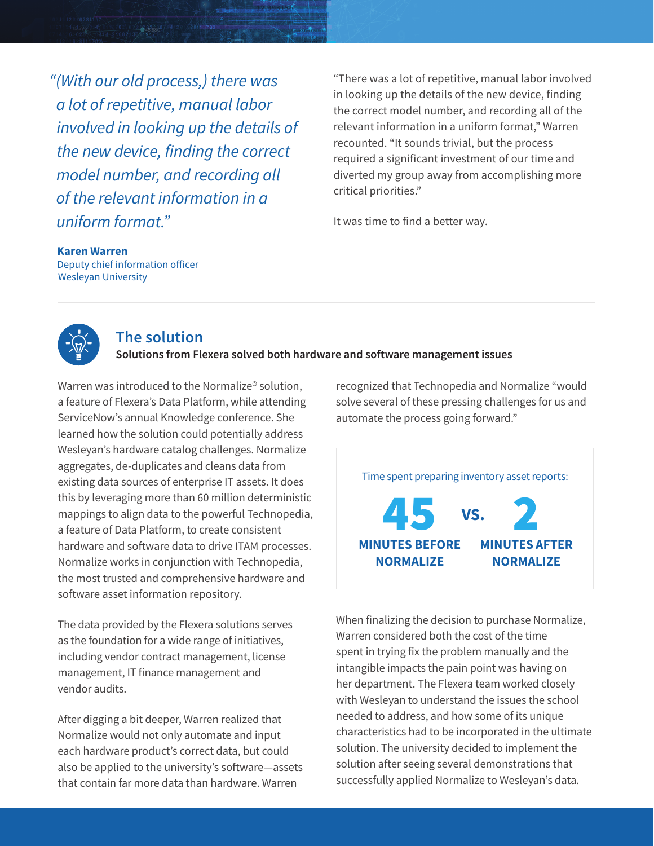*"(With our old process,) there was a lot of repetitive, manual labor involved in looking up the details of the new device, finding the correct model number, and recording all of the relevant information in a uniform format."*

"There was a lot of repetitive, manual labor involved in looking up the details of the new device, finding the correct model number, and recording all of the relevant information in a uniform format," Warren recounted. "It sounds trivial, but the process required a significant investment of our time and diverted my group away from accomplishing more critical priorities."

It was time to find a better way.

#### **Karen Warren**

Deputy chief information officer Wesleyan University



#### **The solution**

**Solutions from Flexera solved both hardware and software management issues**

Warren was introduced to the Normalize® solution, a feature of Flexera's Data Platform, while attending ServiceNow's annual Knowledge conference. She learned how the solution could potentially address Wesleyan's hardware catalog challenges. Normalize aggregates, de-duplicates and cleans data from existing data sources of enterprise IT assets. It does this by leveraging more than 60 million deterministic mappings to align data to the powerful Technopedia, a feature of Data Platform, to create consistent hardware and software data to drive ITAM processes. Normalize works in conjunction with Technopedia, the most trusted and comprehensive hardware and software asset information repository.

The data provided by the Flexera solutions serves as the foundation for a wide range of initiatives, including vendor contract management, license management, IT finance management and vendor audits.

After digging a bit deeper, Warren realized that Normalize would not only automate and input each hardware product's correct data, but could also be applied to the university's software—assets that contain far more data than hardware. Warren

recognized that Technopedia and Normalize "would solve several of these pressing challenges for us and automate the process going forward."



When finalizing the decision to purchase Normalize, Warren considered both the cost of the time spent in trying fix the problem manually and the intangible impacts the pain point was having on her department. The Flexera team worked closely with Wesleyan to understand the issues the school needed to address, and how some of its unique characteristics had to be incorporated in the ultimate solution. The university decided to implement the solution after seeing several demonstrations that successfully applied Normalize to Wesleyan's data.